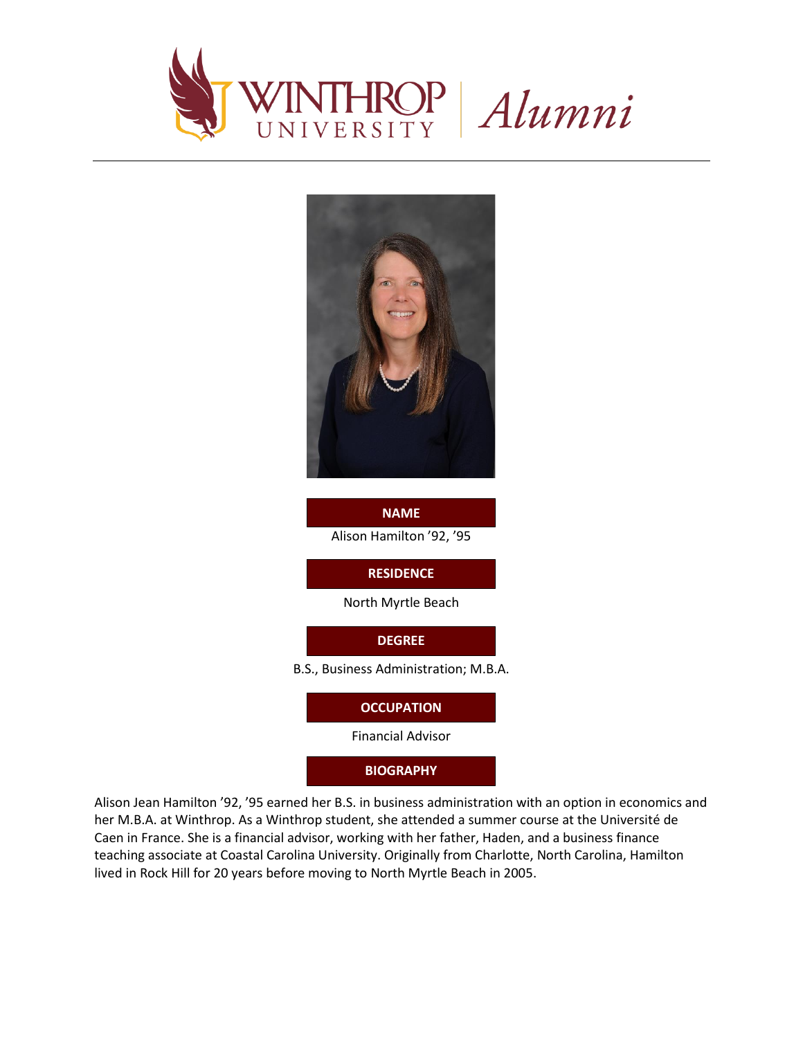



Alison Hamilton '92, '95 North Myrtle Beach B.S., Business Administration; M.B.A. **NAME RESIDENCE DEGREE OCCUPATION**

Financial Advisor

**BIOGRAPHY**

Alison Jean Hamilton '92, '95 earned her B.S. in business administration with an option in economics and her M.B.A. at Winthrop. As a Winthrop student, she attended a summer course at the Université de Caen in France. She is a financial advisor, working with her father, Haden, and a business finance teaching associate at Coastal Carolina University. Originally from Charlotte, North Carolina, Hamilton lived in Rock Hill for 20 years before moving to North Myrtle Beach in 2005.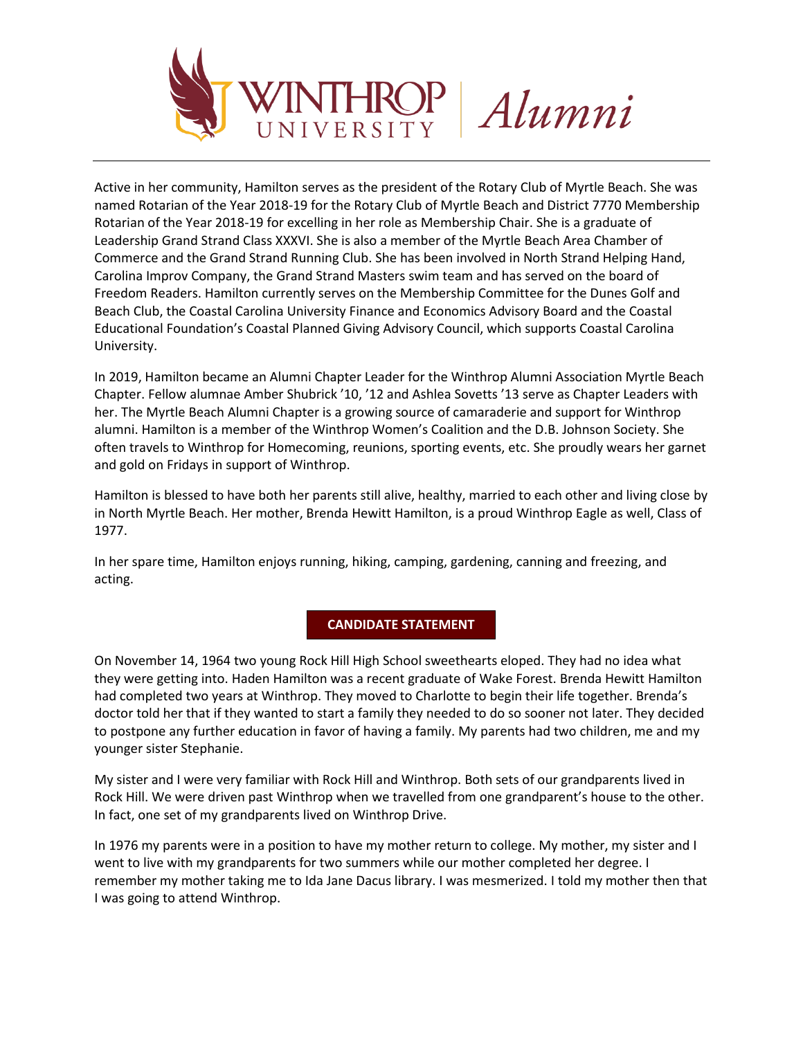

Alumni

Active in her community, Hamilton serves as the president of the Rotary Club of Myrtle Beach. She was named Rotarian of the Year 2018-19 for the Rotary Club of Myrtle Beach and District 7770 Membership Rotarian of the Year 2018-19 for excelling in her role as Membership Chair. She is a graduate of Leadership Grand Strand Class XXXVI. She is also a member of the Myrtle Beach Area Chamber of Commerce and the Grand Strand Running Club. She has been involved in North Strand Helping Hand, Carolina Improv Company, the Grand Strand Masters swim team and has served on the board of Freedom Readers. Hamilton currently serves on the Membership Committee for the Dunes Golf and Beach Club, the Coastal Carolina University Finance and Economics Advisory Board and the Coastal Educational Foundation's Coastal Planned Giving Advisory Council, which supports Coastal Carolina University.

In 2019, Hamilton became an Alumni Chapter Leader for the Winthrop Alumni Association Myrtle Beach Chapter. Fellow alumnae Amber Shubrick '10, '12 and Ashlea Sovetts '13 serve as Chapter Leaders with her. The Myrtle Beach Alumni Chapter is a growing source of camaraderie and support for Winthrop alumni. Hamilton is a member of the Winthrop Women's Coalition and the D.B. Johnson Society. She often travels to Winthrop for Homecoming, reunions, sporting events, etc. She proudly wears her garnet and gold on Fridays in support of Winthrop.

Hamilton is blessed to have both her parents still alive, healthy, married to each other and living close by in North Myrtle Beach. Her mother, Brenda Hewitt Hamilton, is a proud Winthrop Eagle as well, Class of 1977.

In her spare time, Hamilton enjoys running, hiking, camping, gardening, canning and freezing, and acting.

## **CANDIDATE STATEMENT**

On November 14, 1964 two young Rock Hill High School sweethearts eloped. They had no idea what they were getting into. Haden Hamilton was a recent graduate of Wake Forest. Brenda Hewitt Hamilton had completed two years at Winthrop. They moved to Charlotte to begin their life together. Brenda's doctor told her that if they wanted to start a family they needed to do so sooner not later. They decided to postpone any further education in favor of having a family. My parents had two children, me and my younger sister Stephanie.

My sister and I were very familiar with Rock Hill and Winthrop. Both sets of our grandparents lived in Rock Hill. We were driven past Winthrop when we travelled from one grandparent's house to the other. In fact, one set of my grandparents lived on Winthrop Drive.

In 1976 my parents were in a position to have my mother return to college. My mother, my sister and I went to live with my grandparents for two summers while our mother completed her degree. I remember my mother taking me to Ida Jane Dacus library. I was mesmerized. I told my mother then that I was going to attend Winthrop.